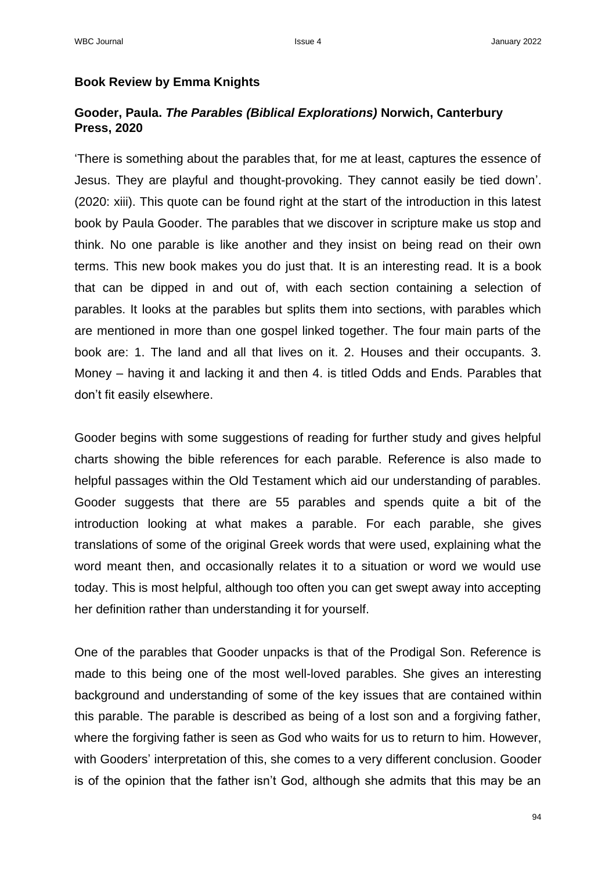## **Book Review by Emma Knights**

## **Gooder, Paula.** *The Parables (Biblical Explorations)* **Norwich, Canterbury Press, 2020**

'There is something about the parables that, for me at least, captures the essence of Jesus. They are playful and thought-provoking. They cannot easily be tied down'. (2020: xiii). This quote can be found right at the start of the introduction in this latest book by Paula Gooder. The parables that we discover in scripture make us stop and think. No one parable is like another and they insist on being read on their own terms. This new book makes you do just that. It is an interesting read. It is a book that can be dipped in and out of, with each section containing a selection of parables. It looks at the parables but splits them into sections, with parables which are mentioned in more than one gospel linked together. The four main parts of the book are: 1. The land and all that lives on it. 2. Houses and their occupants. 3. Money – having it and lacking it and then 4. is titled Odds and Ends. Parables that don't fit easily elsewhere.

Gooder begins with some suggestions of reading for further study and gives helpful charts showing the bible references for each parable. Reference is also made to helpful passages within the Old Testament which aid our understanding of parables. Gooder suggests that there are 55 parables and spends quite a bit of the introduction looking at what makes a parable. For each parable, she gives translations of some of the original Greek words that were used, explaining what the word meant then, and occasionally relates it to a situation or word we would use today. This is most helpful, although too often you can get swept away into accepting her definition rather than understanding it for yourself.

One of the parables that Gooder unpacks is that of the Prodigal Son. Reference is made to this being one of the most well-loved parables. She gives an interesting background and understanding of some of the key issues that are contained within this parable. The parable is described as being of a lost son and a forgiving father, where the forgiving father is seen as God who waits for us to return to him. However, with Gooders' interpretation of this, she comes to a very different conclusion. Gooder is of the opinion that the father isn't God, although she admits that this may be an